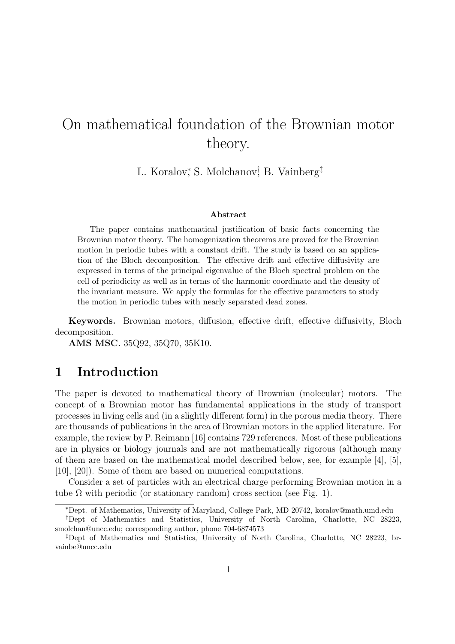# On mathematical foundation of the Brownian motor theory.

L. Koralov*<sup>∗</sup>* , S. Molchanov*†* , B. Vainberg*‡*

#### **Abstract**

The paper contains mathematical justification of basic facts concerning the Brownian motor theory. The homogenization theorems are proved for the Brownian motion in periodic tubes with a constant drift. The study is based on an application of the Bloch decomposition. The effective drift and effective diffusivity are expressed in terms of the principal eigenvalue of the Bloch spectral problem on the cell of periodicity as well as in terms of the harmonic coordinate and the density of the invariant measure. We apply the formulas for the effective parameters to study the motion in periodic tubes with nearly separated dead zones.

**Keywords.** Brownian motors, diffusion, effective drift, effective diffusivity, Bloch decomposition.

**AMS MSC.** 35Q92, 35Q70, 35K10.

## **1 Introduction**

The paper is devoted to mathematical theory of Brownian (molecular) motors. The concept of a Brownian motor has fundamental applications in the study of transport processes in living cells and (in a slightly different form) in the porous media theory. There are thousands of publications in the area of Brownian motors in the applied literature. For example, the review by P. Reimann [16] contains 729 references. Most of these publications are in physics or biology journals and are not mathematically rigorous (although many of them are based on the mathematical model described below, see, for example [4], [5], [10], [20]). Some of them are based on numerical computations.

Consider a set of particles with an electrical charge performing Brownian motion in a tube  $\Omega$  with periodic (or stationary random) cross section (see Fig. 1).

*<sup>∗</sup>*Dept. of Mathematics, University of Maryland, College Park, MD 20742, koralov@math.umd.edu

*<sup>†</sup>*Dept of Mathematics and Statistics, University of North Carolina, Charlotte, NC 28223, smolchan@uncc.edu; corresponding author, phone 704-6874573

*<sup>‡</sup>*Dept of Mathematics and Statistics, University of North Carolina, Charlotte, NC 28223, brvainbe@uncc.edu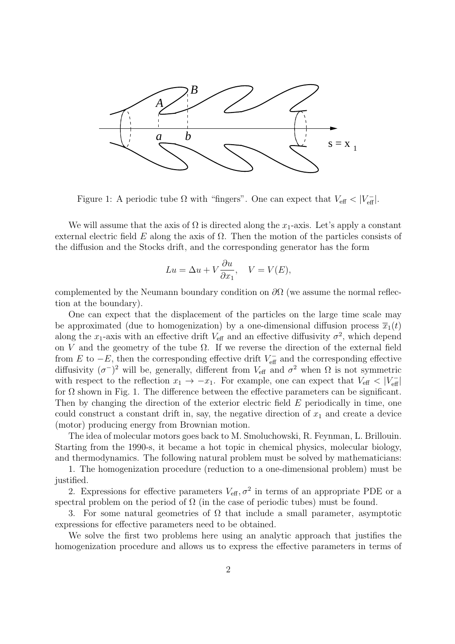

Figure 1: A periodic tube  $\Omega$  with "fingers". One can expect that  $V_{\text{eff}} < |V_{\text{eff}}|$ .

We will assume that the axis of  $\Omega$  is directed along the  $x_1$ -axis. Let's apply a constant external electric field  $E$  along the axis of  $\Omega$ . Then the motion of the particles consists of the diffusion and the Stocks drift, and the corresponding generator has the form

$$
Lu = \Delta u + V \frac{\partial u}{\partial x_1}, \quad V = V(E),
$$

complemented by the Neumann boundary condition on *∂*Ω (we assume the normal reflection at the boundary).

One can expect that the displacement of the particles on the large time scale may be approximated (due to homogenization) by a one-dimensional diffusion process  $\overline{x}_1(t)$ along the  $x_1$ -axis with an effective drift  $V_{\text{eff}}$  and an effective diffusivity  $\sigma^2$ , which depend on *V* and the geometry of the tube  $\Omega$ . If we reverse the direction of the external field from *E* to  $-E$ , then the corresponding effective drift  $V_{\text{eff}}^-$  and the corresponding effective diffusivity  $(\sigma^{-})^2$  will be, generally, different from  $V_{\text{eff}}$  and  $\sigma^2$  when  $\Omega$  is not symmetric with respect to the reflection  $x_1 \rightarrow -x_1$ . For example, one can expect that  $V_{\text{eff}} < |V_{\text{eff}}|$ for  $\Omega$  shown in Fig. 1. The difference between the effective parameters can be significant. Then by changing the direction of the exterior electric field *E* periodically in time, one could construct a constant drift in, say, the negative direction of  $x_1$  and create a device (motor) producing energy from Brownian motion.

The idea of molecular motors goes back to M. Smoluchowski, R. Feynman, L. Brillouin. Starting from the 1990-s, it became a hot topic in chemical physics, molecular biology, and thermodynamics. The following natural problem must be solved by mathematicians:

1. The homogenization procedure (reduction to a one-dimensional problem) must be justified.

2. Expressions for effective parameters  $V_{\text{eff}}$ ,  $\sigma^2$  in terms of an appropriate PDE or a spectral problem on the period of  $\Omega$  (in the case of periodic tubes) must be found.

3. For some natural geometries of  $\Omega$  that include a small parameter, asymptotic expressions for effective parameters need to be obtained.

We solve the first two problems here using an analytic approach that justifies the homogenization procedure and allows us to express the effective parameters in terms of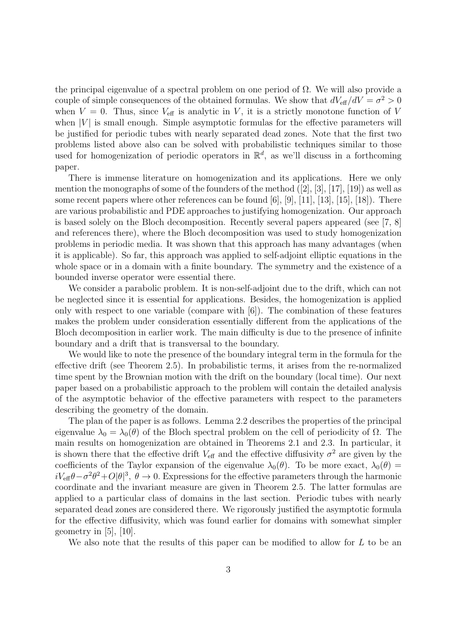the principal eigenvalue of a spectral problem on one period of  $\Omega$ . We will also provide a couple of simple consequences of the obtained formulas. We show that  $dV_{\text{eff}}/dV = \sigma^2 > 0$ when  $V = 0$ . Thus, since  $V_{\text{eff}}$  is analytic in V, it is a strictly monotone function of V when  $|V|$  is small enough. Simple asymptotic formulas for the effective parameters will be justified for periodic tubes with nearly separated dead zones. Note that the first two problems listed above also can be solved with probabilistic techniques similar to those used for homogenization of periodic operators in  $\mathbb{R}^d$ , as we'll discuss in a forthcoming paper.

There is immense literature on homogenization and its applications. Here we only mention the monographs of some of the founders of the method ([2], [3], [17], [19]) as well as some recent papers where other references can be found  $[6]$ ,  $[9]$ ,  $[11]$ ,  $[13]$ ,  $[15]$ ,  $[18]$ ). There are various probabilistic and PDE approaches to justifying homogenization. Our approach is based solely on the Bloch decomposition. Recently several papers appeared (see [7, 8] and references there), where the Bloch decomposition was used to study homogenization problems in periodic media. It was shown that this approach has many advantages (when it is applicable). So far, this approach was applied to self-adjoint elliptic equations in the whole space or in a domain with a finite boundary. The symmetry and the existence of a bounded inverse operator were essential there.

We consider a parabolic problem. It is non-self-adjoint due to the drift, which can not be neglected since it is essential for applications. Besides, the homogenization is applied only with respect to one variable (compare with [6]). The combination of these features makes the problem under consideration essentially different from the applications of the Bloch decomposition in earlier work. The main difficulty is due to the presence of infinite boundary and a drift that is transversal to the boundary.

We would like to note the presence of the boundary integral term in the formula for the effective drift (see Theorem 2.5). In probabilistic terms, it arises from the re-normalized time spent by the Brownian motion with the drift on the boundary (local time). Our next paper based on a probabilistic approach to the problem will contain the detailed analysis of the asymptotic behavior of the effective parameters with respect to the parameters describing the geometry of the domain.

The plan of the paper is as follows. Lemma 2.2 describes the properties of the principal eigenvalue  $\lambda_0 = \lambda_0(\theta)$  of the Bloch spectral problem on the cell of periodicity of  $\Omega$ . The main results on homogenization are obtained in Theorems 2.1 and 2.3. In particular, it is shown there that the effective drift  $V_{\text{eff}}$  and the effective diffusivity  $\sigma^2$  are given by the coefficients of the Taylor expansion of the eigenvalue  $\lambda_0(\theta)$ . To be more exact,  $\lambda_0(\theta)$  =  $iV_{\text{eff}}\theta-\sigma^2\theta^2+O|\theta|^3$ ,  $\theta\to 0$ . Expressions for the effective parameters through the harmonic coordinate and the invariant measure are given in Theorem 2.5. The latter formulas are applied to a particular class of domains in the last section. Periodic tubes with nearly separated dead zones are considered there. We rigorously justified the asymptotic formula for the effective diffusivity, which was found earlier for domains with somewhat simpler geometry in [5], [10].

We also note that the results of this paper can be modified to allow for *L* to be an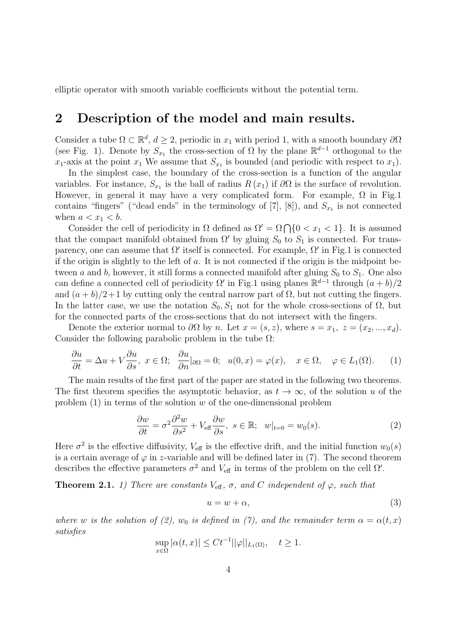elliptic operator with smooth variable coefficients without the potential term.

### **2 Description of the model and main results.**

Consider a tube  $\Omega \subset \mathbb{R}^d$ ,  $d \geq 2$ , periodic in  $x_1$  with period 1, with a smooth boundary  $\partial \Omega$ (see Fig. 1). Denote by  $S_{x_1}$  the cross-section of  $\Omega$  by the plane  $\mathbb{R}^{d-1}$  orthogonal to the  $x_1$ -axis at the point  $x_1$  We assume that  $S_{x_1}$  is bounded (and periodic with respect to  $x_1$ ).

In the simplest case, the boundary of the cross-section is a function of the angular variables. For instance,  $S_{x_1}$  is the ball of radius  $R(x_1)$  if  $\partial\Omega$  is the surface of revolution. However, in general it may have a very complicated form. For example,  $\Omega$  in Fig.1 contains "fingers" ("dead ends" in the terminology of [7], [8]), and  $S_{x_1}$  is not connected when  $a < x_1 < b$ .

Consider the cell of periodicity in  $\Omega$  defined as  $\Omega' = \Omega \cap \{0 < x_1 < 1\}$ . It is assumed that the compact manifold obtained from  $\Omega'$  by gluing  $S_0$  to  $S_1$  is connected. For transparency, one can assume that  $\Omega'$  itself is connected. For example,  $\Omega'$  in Fig.1 is connected if the origin is slightly to the left of *a*. It is not connected if the origin is the midpoint between *a* and *b*, however, it still forms a connected manifold after gluing  $S_0$  to  $S_1$ . One also can define a connected cell of periodicity  $\Omega'$  in Fig.1 using planes  $\mathbb{R}^{d-1}$  through  $(a + b)/2$ and  $(a + b)/2+1$  by cutting only the central narrow part of  $\Omega$ , but not cutting the fingers. In the latter case, we use the notation  $S_0, S_1$  not for the whole cross-sections of  $\Omega$ , but for the connected parts of the cross-sections that do not intersect with the fingers.

Denote the exterior normal to  $\partial\Omega$  by *n*. Let  $x = (s, z)$ , where  $s = x_1, z = (x_2, ..., x_d)$ . Consider the following parabolic problem in the tube  $\Omega$ :

$$
\frac{\partial u}{\partial t} = \Delta u + V \frac{\partial u}{\partial s}, \ x \in \Omega; \ \frac{\partial u}{\partial n}|_{\partial \Omega} = 0; \ u(0, x) = \varphi(x), \ x \in \Omega, \ \varphi \in L_1(\Omega). \tag{1}
$$

The main results of the first part of the paper are stated in the following two theorems. The first theorem specifies the asymptotic behavior, as  $t \to \infty$ , of the solution *u* of the problem (1) in terms of the solution *w* of the one-dimensional problem

$$
\frac{\partial w}{\partial t} = \sigma^2 \frac{\partial^2 w}{\partial s^2} + V_{\text{eff}} \frac{\partial w}{\partial s}, \ s \in \mathbb{R}; \ w|_{t=0} = w_0(s). \tag{2}
$$

Here  $\sigma^2$  is the effective diffusivity,  $V_{\text{eff}}$  is the effective drift, and the initial function  $w_0(s)$ is a certain average of  $\varphi$  in *z*-variable and will be defined later in (7). The second theorem describes the effective parameters  $\sigma^2$  and  $V_{\text{eff}}$  in terms of the problem on the cell  $\Omega'$ .

**Theorem 2.1.** *1)* There are constants  $V_{\text{eff}}$ ,  $\sigma$ , and C independent of  $\varphi$ , such that

$$
u = w + \alpha,\tag{3}
$$

*where w is the solution of (2), w<sub>0</sub> <i>is defined in (7), and the remainder term*  $\alpha = \alpha(t, x)$ *satisfies*

$$
\sup_{x \in \Omega} |\alpha(t, x)| \le Ct^{-1} ||\varphi||_{L_1(\Omega)}, \quad t \ge 1.
$$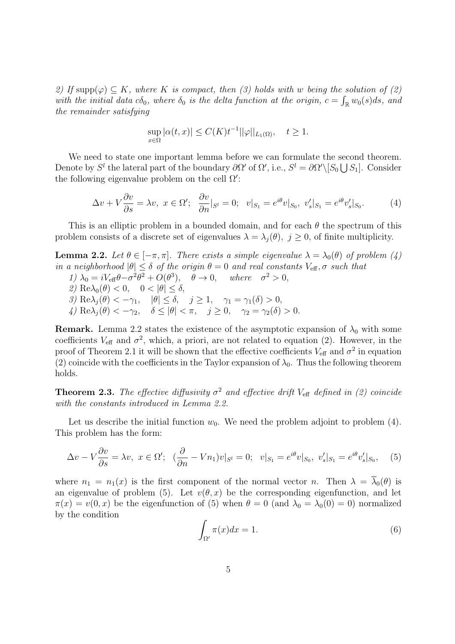*2)* If supp $(φ) ⊂ K$ *, where K is compact, then* (3) holds with *w* being the solution of (2) *with the initial data*  $c\delta_0$ *, where*  $\delta_0$  *is the delta function at the origin,*  $c = \int_{\mathbb{R}} w_0(s) ds$ *, and the remainder satisfying*

$$
\sup_{x \in \Omega} |\alpha(t, x)| \le C(K)t^{-1} ||\varphi||_{L_1(\Omega)}, \quad t \ge 1.
$$

We need to state one important lemma before we can formulate the second theorem. Denote by  $S^l$  the lateral part of the boundary  $\partial \Omega'$  of  $\Omega'$ , i.e.,  $S^l = \partial \Omega' \setminus [S_0 \cup S_1]$ . Consider the following eigenvalue problem on the cell Ω *′* :

$$
\Delta v + V \frac{\partial v}{\partial s} = \lambda v, \ x \in \Omega'; \ \frac{\partial v}{\partial n}|_{S^l} = 0; \ \ v|_{S_1} = e^{i\theta} v|_{S_0}, \ v'_s|_{S_1} = e^{i\theta} v'_s|_{S_0}.
$$
 (4)

This is an elliptic problem in a bounded domain, and for each *θ* the spectrum of this problem consists of a discrete set of eigenvalues  $\lambda = \lambda_j(\theta)$ ,  $j \geq 0$ , of finite multiplicity.

**Lemma 2.2.** *Let*  $\theta \in [-\pi, \pi]$ *. There exists a simple eigenvalue*  $\lambda = \lambda_0(\theta)$  *of problem* (4) *in a neighborhood*  $|\theta| \leq \delta$  *of the origin*  $\theta = 0$  *and real constants*  $V_{\text{eff}}$ *,*  $\sigma$  *such that 1*)  $\lambda_0 = iV_{\text{eff}}\theta - \sigma^2\theta^2 + O(\theta^3), \quad \theta \to 0, \quad \text{where} \quad \sigma^2 > 0,$ *2)* Re $\lambda_0(\theta) < 0$ ,  $0 < |\theta| < \delta$ , *3*) Re $\lambda_j(\theta) < -\gamma_1$ ,  $|\theta| \le \delta$ ,  $j \ge 1$ ,  $\gamma_1 = \gamma_1(\delta) > 0$ , *4*)  $\text{Re}\lambda_j(\theta) < -\gamma_2$ ,  $\delta \le |\theta| < \pi$ ,  $j \ge 0$ ,  $\gamma_2 = \gamma_2(\delta) > 0$ .

**Remark.** Lemma 2.2 states the existence of the asymptotic expansion of  $\lambda_0$  with some coefficients  $V_{\text{eff}}$  and  $\sigma^2$ , which, a priori, are not related to equation (2). However, in the proof of Theorem 2.1 it will be shown that the effective coefficients  $V_{\text{eff}}$  and  $\sigma^2$  in equation (2) coincide with the coefficients in the Taylor expansion of  $\lambda_0$ . Thus the following theorem holds.

**Theorem 2.3.** *The effective diffusivity*  $\sigma^2$  *and effective drift*  $V_{\text{eff}}$  *defined in (2) coincide with the constants introduced in Lemma 2.2.*

Let us describe the initial function  $w_0$ . We need the problem adjoint to problem  $(4)$ . This problem has the form:

$$
\Delta v - V \frac{\partial v}{\partial s} = \lambda v, \ x \in \Omega'; \ \ (\frac{\partial}{\partial n} - V n_1) v|_{S^l} = 0; \ \ v|_{S_1} = e^{i\theta} v|_{S_0}, \ v'_s|_{S_1} = e^{i\theta} v'_s|_{S_0}, \tag{5}
$$

where  $n_1 = n_1(x)$  is the first component of the normal vector *n*. Then  $\lambda = \overline{\lambda}_0(\theta)$  is an eigenvalue of problem (5). Let  $v(\theta, x)$  be the corresponding eigenfunction, and let  $\pi(x) = v(0, x)$  be the eigenfunction of (5) when  $\theta = 0$  (and  $\lambda_0 = \lambda_0(0) = 0$ ) normalized by the condition

$$
\int_{\Omega'} \pi(x)dx = 1.
$$
\n(6)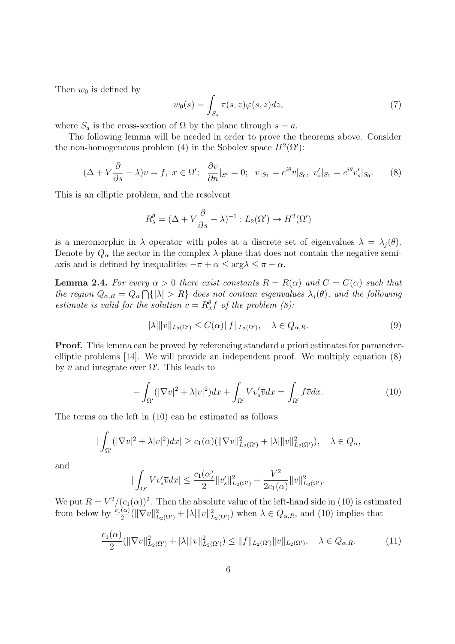Then  $w_0$  is defined by

$$
w_0(s) = \int_{S_s} \pi(s, z)\varphi(s, z)dz,
$$
\n(7)

where  $S_a$  is the cross-section of  $\Omega$  by the plane through  $s = a$ .

The following lemma will be needed in order to prove the theorems above. Consider the non-homogeneous problem (4) in the Sobolev space  $H^2(\Omega')$ :

$$
(\Delta + V\frac{\partial}{\partial s} - \lambda)v = f, \ x \in \Omega'; \ \frac{\partial v}{\partial n}|_{S^l} = 0; \ v|_{S_1} = e^{i\theta}v|_{S_0}, \ v'_s|_{S_1} = e^{i\theta}v'_s|_{S_0}.\tag{8}
$$

This is an elliptic problem, and the resolvent

$$
R_{\lambda}^{\theta} = (\Delta + V \frac{\partial}{\partial s} - \lambda)^{-1} : L_2(\Omega') \to H^2(\Omega')
$$

is a meromorphic in  $\lambda$  operator with poles at a discrete set of eigenvalues  $\lambda = \lambda_i(\theta)$ . Denote by  $Q_{\alpha}$  the sector in the complex  $\lambda$ -plane that does not contain the negative semiaxis and is defined by inequalities  $-\pi + \alpha \leq \arg \lambda \leq \pi - \alpha$ .

**Lemma 2.4.** For every  $\alpha > 0$  there exist constants  $R = R(\alpha)$  and  $C = C(\alpha)$  such that *the region*  $Q_{\alpha,R} = Q_{\alpha} \cap \{|\lambda| > R\}$  *does not contain eigenvalues*  $\lambda_j(\theta)$ *, and the following estimate is valid for the solution*  $v = R_{\lambda}^{\theta} f$  *of the problem* (8):

$$
|\lambda| \|v\|_{L_2(\Omega')} \le C(\alpha) \|f\|_{L_2(\Omega')}, \quad \lambda \in Q_{\alpha,R}.\tag{9}
$$

**Proof.** This lemma can be proved by referencing standard a priori estimates for parameterelliptic problems [14]. We will provide an independent proof. We multiply equation (8) by  $\bar{v}$  and integrate over  $\Omega'$ . This leads to

$$
-\int_{\Omega'} (|\nabla v|^2 + \lambda |v|^2) dx + \int_{\Omega'} V v_s' \overline{v} dx = \int_{\Omega'} f \overline{v} dx.
$$
 (10)

The terms on the left in (10) can be estimated as follows

$$
|\int_{\Omega'} (|\nabla v|^2 + \lambda |v|^2) dx| \ge c_1(\alpha) (\|\nabla v\|_{L_2(\Omega')}^2 + |\lambda| \|v\|_{L_2(\Omega')}^2), \quad \lambda \in Q_\alpha,
$$

and

$$
|\int_{\Omega'} V v_s' \overline{v} dx| \leq \frac{c_1(\alpha)}{2} ||v_s'||_{L_2(\Omega')}^2 + \frac{V^2}{2c_1(\alpha)} ||v||_{L_2(\Omega')}^2.
$$

We put  $R = V^2/(c_1(\alpha))^2$ . Then the absolute value of the left-hand side in (10) is estimated from below by  $\frac{c_1(\alpha)}{2}(\|\nabla v\|_{L_2(\Omega')}^2 + |\lambda| \|v\|_{L_2(\Omega')}^2)$  when  $\lambda \in Q_{\alpha,R}$ , and (10) implies that

$$
\frac{c_1(\alpha)}{2}(\|\nabla v\|_{L_2(\Omega')}^2 + |\lambda| \|v\|_{L_2(\Omega')}^2) \le \|f\|_{L_2(\Omega')} \|v\|_{L_2(\Omega')} , \quad \lambda \in Q_{\alpha,R} .
$$
 (11)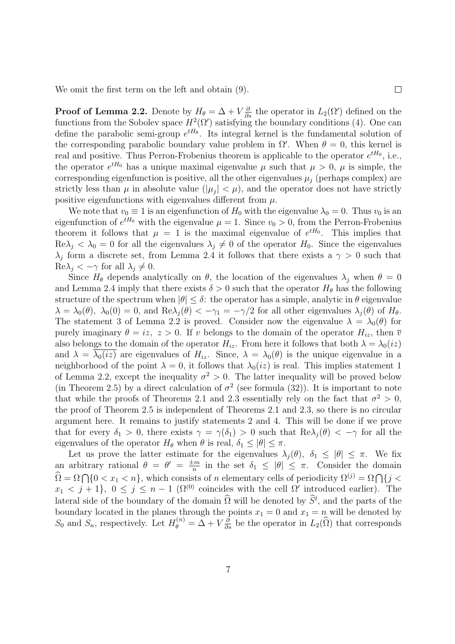We omit the first term on the left and obtain (9).

**Proof of Lemma 2.2.** Denote by  $H_{\theta} = \Delta + V \frac{\partial}{\partial s}$  the operator in  $L_2(\Omega')$  defined on the functions from the Sobolev space  $H^2(\Omega')$  satisfying the boundary conditions (4). One can define the parabolic semi-group  $e^{tH_{\theta}}$ . Its integral kernel is the fundamental solution of the corresponding parabolic boundary value problem in  $\Omega'$ . When  $\theta = 0$ , this kernel is real and positive. Thus Perron-Frobenius theorem is applicable to the operator  $e^{tH_0}$ , i.e., the operator  $e^{tH_0}$  has a unique maximal eigenvalue  $\mu$  such that  $\mu > 0$ ,  $\mu$  is simple, the corresponding eigenfunction is positive, all the other eigenvalues  $\mu_j$  (perhaps complex) are strictly less than  $\mu$  in absolute value ( $|\mu_j| < \mu$ ), and the operator does not have strictly positive eigenfunctions with eigenvalues different from *µ*.

 $\Box$ 

We note that  $v_0 \equiv 1$  is an eigenfunction of  $H_0$  with the eigenvalue  $\lambda_0 = 0$ . Thus  $v_0$  is an eigenfunction of  $e^{tH_0}$  with the eigenvalue  $\mu = 1$ . Since  $v_0 > 0$ , from the Perron-Frobenius theorem it follows that  $\mu = 1$  is the maximal eigenvalue of  $e^{tH_0}$ . This implies that  $\text{Re}\lambda_j < \lambda_0 = 0$  for all the eigenvalues  $\lambda_j \neq 0$  of the operator  $H_0$ . Since the eigenvalues *λ*<sup>*j*</sup> form a discrete set, from Lemma 2.4 it follows that there exists a *γ* > 0 such that  $\text{Re}\lambda_i < -\gamma$  for all  $\lambda_i \neq 0$ .

Since  $H_{\theta}$  depends analytically on  $\theta$ , the location of the eigenvalues  $\lambda_j$  when  $\theta = 0$ and Lemma 2.4 imply that there exists  $\delta > 0$  such that the operator  $H_{\theta}$  has the following structure of the spectrum when  $|\theta| \leq \delta$ : the operator has a simple, analytic in  $\theta$  eigenvalue  $\lambda = \lambda_0(\theta)$ ,  $\lambda_0(0) = 0$ , and  $\text{Re}\lambda_j(\theta) < -\gamma_1 = -\gamma/2$  for all other eigenvalues  $\lambda_j(\theta)$  of  $H_{\theta}$ . The statement 3 of Lemma 2.2 is proved. Consider now the eigenvalue  $\lambda = \lambda_0(\theta)$  for purely imaginary  $\theta = iz$ ,  $z > 0$ . If *v* belongs to the domain of the operator  $H_{iz}$ , then  $\overline{v}$ also belongs to the domain of the operator  $H_{iz}$ . From here it follows that both  $\lambda = \lambda_0(iz)$ and  $\lambda = \lambda_0(iz)$  are eigenvalues of  $H_{iz}$ . Since,  $\lambda = \lambda_0(\theta)$  is the unique eigenvalue in a neighborhood of the point  $\lambda = 0$ , it follows that  $\lambda_0(iz)$  is real. This implies statement 1 of Lemma 2.2, except the inequality  $\sigma^2 > 0$ . The latter inequality will be proved below (in Theorem 2.5) by a direct calculation of  $\sigma^2$  (see formula (32)). It is important to note that while the proofs of Theorems 2.1 and 2.3 essentially rely on the fact that  $\sigma^2 > 0$ , the proof of Theorem 2.5 is independent of Theorems 2.1 and 2.3, so there is no circular argument here. It remains to justify statements 2 and 4. This will be done if we prove that for every  $\delta_1 > 0$ , there exists  $\gamma = \gamma(\delta_1) > 0$  such that  $\text{Re}\lambda_i(\theta) < -\gamma$  for all the eigenvalues of the operator  $H_{\theta}$  when  $\theta$  is real,  $\delta_1 \leq |\theta| \leq \pi$ .

Let us prove the latter estimate for the eigenvalues  $\lambda_j(\theta)$ ,  $\delta_1 \leq |\theta| \leq \pi$ . We fix an arbitrary rational  $\theta = \theta' = \frac{\pm m}{n}$  $\frac{dm}{n}$  in the set  $\delta_1 \leq |\theta| \leq \pi$ . Consider the domain  $\widehat{\Omega} = \Omega \cap \{0 \leq x_1 \leq n\}$ , which consists of *n* elementary cells of periodicity  $\Omega^{(j)} = \Omega \cap \{j \leq j\}$  $x_1 \leq j+1$ ,  $0 \leq j \leq n-1$  ( $\Omega^{(0)}$  coincides with the cell  $\Omega'$  introduced earlier). The lateral side of the boundary of the domain  $\hat{\Omega}$  will be denoted by  $\hat{S}^l$ , and the parts of the boundary located in the planes through the points  $x_1 = 0$  and  $x_1 = n$  will be denoted by *S*<sub>0</sub> and *S*<sub>*n*</sub>, respectively. Let  $H_{\theta}^{(n)} = \tilde{\Delta} + V \frac{\partial}{\partial s}$  be the operator in  $L_2(\hat{\Omega})$  that corresponds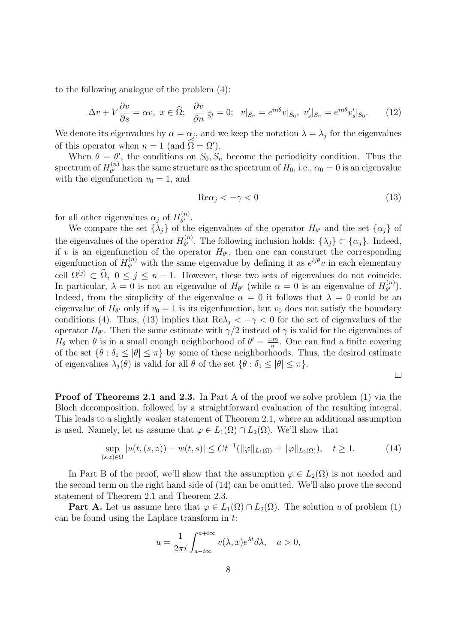to the following analogue of the problem (4):

$$
\Delta v + V \frac{\partial v}{\partial s} = \alpha v, \ x \in \widehat{\Omega}; \ \ \frac{\partial v}{\partial n}|_{\widehat{S}^l} = 0; \ \ v|_{S_n} = e^{in\theta} v|_{S_0}, \ v'_s|_{S_n} = e^{in\theta} v'_s|_{S_0}.
$$
 (12)

We denote its eigenvalues by  $\alpha = \alpha_j$ , and we keep the notation  $\lambda = \lambda_j$  for the eigenvalues of this operator when  $n = 1$  (and  $\Omega = \Omega'$ ).

When  $\theta = \theta'$ , the conditions on  $S_0, S_n$  become the periodicity condition. Thus the spectrum of  $H_{\theta'}^{(n)}$  $\theta^{\prime}$  has the same structure as the spectrum of  $H_0$ , i.e.,  $\alpha_0 = 0$  is an eigenvalue with the eigenfunction  $v_0 = 1$ , and

$$
\text{Re}\alpha_j < -\gamma < 0\tag{13}
$$

for all other eigenvalues  $\alpha_j$  of  $H_{\theta'}^{(n)}$ *θ ′* .

We compare the set  $\{\lambda_j\}$  of the eigenvalues of the operator  $H_{\theta'}$  and the set  $\{\alpha_j\}$  of the eigenvalues of the operator  $H_{\theta'}^{(n)}$  $\theta$ <sup>*lθ*</sup>. The following inclusion holds:  $\{\lambda_j\} \subset \{\alpha_j\}$ . Indeed, if *v* is an eigenfunction of the operator  $H_{\theta}$ , then one can construct the corresponding eigenfunction of  $H_{\theta'}^{(n)}$  $e^{(n)}$  with the same eigenvalue by defining it as  $e^{ij\theta}v$  in each elementary cell  $\Omega^{(j)} \subset \widehat{\Omega}$ ,  $0 \leq j \leq n-1$ . However, these two sets of eigenvalues do not coincide. In particular,  $\lambda = 0$  is not an eigenvalue of  $H_{\theta'}$  (while  $\alpha = 0$  is an eigenvalue of  $H_{\theta'}^{(n)}$ *θ ′* ). Indeed, from the simplicity of the eigenvalue  $\alpha = 0$  it follows that  $\lambda = 0$  could be an eigenvalue of  $H_{\theta'}$  only if  $v_0 = 1$  is its eigenfunction, but  $v_0$  does not satisfy the boundary conditions (4). Thus, (13) implies that  $\text{Re}\lambda_j < -\gamma < 0$  for the set of eigenvalues of the operator  $H_{\theta'}$ . Then the same estimate with  $\gamma/2$  instead of  $\gamma$  is valid for the eigenvalues of *H*<sup>θ</sup> when  $\theta$  is in a small enough neighborhood of  $\theta' = \frac{\pm m}{n}$  $\frac{2m}{n}$ . One can find a finite covering of the set  $\{\theta : \delta_1 \leq |\theta| \leq \pi\}$  by some of these neighborhoods. Thus, the desired estimate of eigenvalues  $\lambda_i(\theta)$  is valid for all  $\theta$  of the set  $\{\theta : \delta_1 \leq |\theta| \leq \pi\}.$ 

$$
\Box
$$

**Proof of Theorems 2.1 and 2.3.** In Part A of the proof we solve problem (1) via the Bloch decomposition, followed by a straightforward evaluation of the resulting integral. This leads to a slightly weaker statement of Theorem 2.1, where an additional assumption is used. Namely, let us assume that  $\varphi \in L_1(\Omega) \cap L_2(\Omega)$ . We'll show that

$$
\sup_{(s,z)\in\Omega} |u(t,(s,z)) - w(t,s)| \le Ct^{-1}(\|\varphi\|_{L_1(\Omega)} + \|\varphi\|_{L_2(\Omega)}), \quad t \ge 1.
$$
 (14)

In Part B of the proof, we'll show that the assumption  $\varphi \in L_2(\Omega)$  is not needed and the second term on the right hand side of (14) can be omitted. We'll also prove the second statement of Theorem 2.1 and Theorem 2.3.

**Part A.** Let us assume here that  $\varphi \in L_1(\Omega) \cap L_2(\Omega)$ . The solution *u* of problem (1) can be found using the Laplace transform in *t*:

$$
u = \frac{1}{2\pi i} \int_{a - i\infty}^{a + i\infty} v(\lambda, x) e^{\lambda t} d\lambda, \quad a > 0,
$$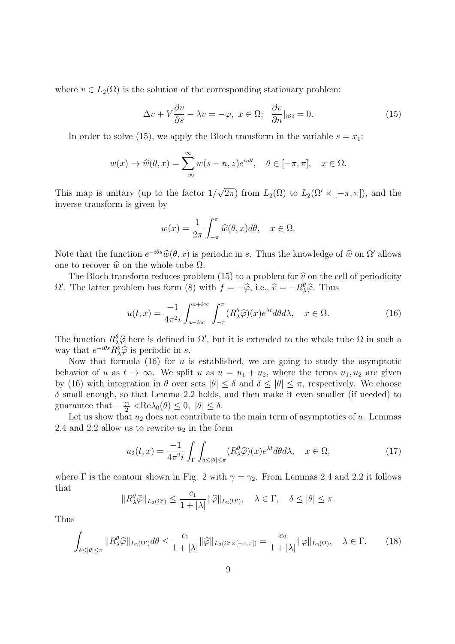where  $v \in L_2(\Omega)$  is the solution of the corresponding stationary problem:

$$
\Delta v + V \frac{\partial v}{\partial s} - \lambda v = -\varphi, \ x \in \Omega; \ \ \frac{\partial v}{\partial n} |_{\partial \Omega} = 0. \tag{15}
$$

In order to solve (15), we apply the Bloch transform in the variable  $s = x_1$ :

$$
w(x) \to \widehat{w}(\theta, x) = \sum_{-\infty}^{\infty} w(s - n, z)e^{in\theta}, \quad \theta \in [-\pi, \pi], \quad x \in \Omega.
$$

This map is unitary (up to the factor 1*/ √*  $\overline{2\pi}$ ) from  $L_2(\Omega)$  to  $L_2(\Omega' \times [-\pi, \pi])$ , and the inverse transform is given by

$$
w(x) = \frac{1}{2\pi} \int_{-\pi}^{\pi} \widehat{w}(\theta, x) d\theta, \quad x \in \Omega.
$$

Note that the function  $e^{-i\theta s}\hat{w}(\theta, x)$  is periodic in *s*. Thus the knowledge of  $\hat{w}$  on  $\Omega'$  allows one to recover  $\hat{w}$  on the whole tube  $\Omega$ .

The Bloch transform reduces problem (15) to a problem for  $\hat{v}$  on the cell of periodicity  $Ω'$ . The latter problem has form (8) with  $f = -\hat{\varphi}$ , i.e.,  $\hat{v} = -R^{\theta}_{\lambda}\hat{\varphi}$ . Thus

$$
u(t,x) = \frac{-1}{4\pi^2 i} \int_{a-i\infty}^{a+i\infty} \int_{-\pi}^{\pi} (R_\lambda^\theta \widehat{\varphi})(x) e^{\lambda t} d\theta d\lambda, \quad x \in \Omega.
$$
 (16)

The function  $R^{\theta}_{\alpha}\hat{\varphi}$  here is defined in  $\Omega'$ , but it is extended to the whole tube  $\Omega$  in such a near that  $e^{-i\theta s}R^{\theta}$  is neares distinguishing way that  $e^{-i\theta s} R_{\lambda}^{\theta} \hat{\varphi}$  is periodic in *s*.

Now that formula (16) for *u* is established, we are going to study the asymptotic behavior of *u* as  $t \to \infty$ . We split *u* as  $u = u_1 + u_2$ , where the terms  $u_1, u_2$  are given by (16) with integration in  $\theta$  over sets  $|\theta| \leq \delta$  and  $\delta \leq |\theta| \leq \pi$ , respectively. We choose  $\delta$  small enough, so that Lemma 2.2 holds, and then make it even smaller (if needed) to guarantee that  $-\frac{\gamma_1}{2} < \text{Re}\lambda_0(\theta) \le 0, |\theta| \le \delta$ .

Let us show that  $u_2$  does not contribute to the main term of asymptotics of  $u$ . Lemmas 2.4 and 2.2 allow us to rewrite  $u_2$  in the form

$$
u_2(t,x) = \frac{-1}{4\pi^2 i} \int_{\Gamma} \int_{\delta \le |\theta| \le \pi} (R_\lambda^\theta \widehat{\varphi})(x) e^{\lambda t} d\theta d\lambda, \quad x \in \Omega,
$$
 (17)

where  $\Gamma$  is the contour shown in Fig. 2 with  $\gamma = \gamma_2$ . From Lemmas 2.4 and 2.2 it follows that

$$
||R_{\lambda}^{\theta}\widehat{\varphi}||_{L_2(\Omega')}\leq \frac{c_1}{1+|\lambda|}||\widehat{\varphi}||_{L_2(\Omega')},\quad \lambda\in\Gamma,\quad \delta\leq |\theta|\leq \pi.
$$

Thus

$$
\int_{\delta \leq |\theta| \leq \pi} ||R_{\lambda}^{\theta} \widehat{\varphi}||_{L_2(\Omega')} d\theta \leq \frac{c_1}{1+|\lambda|} ||\widehat{\varphi}||_{L_2(\Omega' \times [-\pi,\pi])} = \frac{c_2}{1+|\lambda|} ||\varphi||_{L_2(\Omega)}, \quad \lambda \in \Gamma. \tag{18}
$$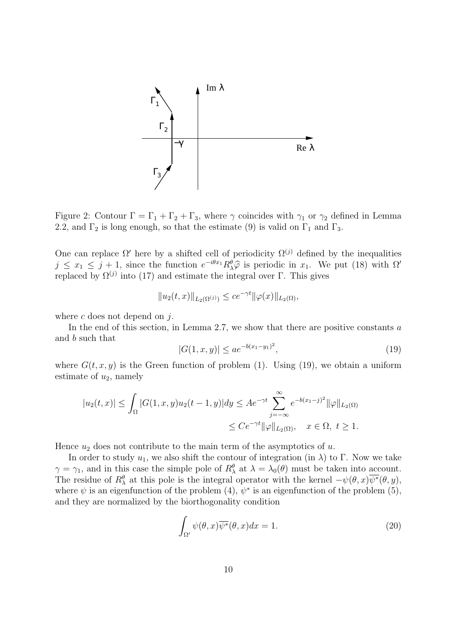

Figure 2: Contour  $\Gamma = \Gamma_1 + \Gamma_2 + \Gamma_3$ , where  $\gamma$  coincides with  $\gamma_1$  or  $\gamma_2$  defined in Lemma 2.2, and  $\Gamma_2$  is long enough, so that the estimate (9) is valid on  $\Gamma_1$  and  $\Gamma_3$ .

One can replace  $\Omega'$  here by a shifted cell of periodicity  $\Omega^{(j)}$  defined by the inequalities  $j \leq x_1 \leq j+1$ , since the function  $e^{-i\theta x_1} R^{\theta}_{\lambda} \hat{\varphi}$  is periodic in  $x_1$ . We put (18) with  $\Omega'$ replaced by  $\Omega^{(j)}$  into (17) and estimate the integral over Γ. This gives

$$
||u_2(t,x)||_{L_2(\Omega^{(j)})} \le ce^{-\gamma t} ||\varphi(x)||_{L_2(\Omega)},
$$

where *c* does not depend on *j*.

In the end of this section, in Lemma 2.7, we show that there are positive constants *a* and *b* such that

$$
|G(1, x, y)| \le a e^{-b(x_1 - y_1)^2}, \tag{19}
$$

where  $G(t, x, y)$  is the Green function of problem (1). Using (19), we obtain a uniform estimate of  $u_2$ , namely

$$
|u_2(t,x)| \le \int_{\Omega} |G(1,x,y)u_2(t-1,y)| dy \le A e^{-\gamma t} \sum_{j=-\infty}^{\infty} e^{-b(x_1-j)^2} ||\varphi||_{L_2(\Omega)}
$$
  

$$
\le C e^{-\gamma t} ||\varphi||_{L_2(\Omega)}, \quad x \in \Omega, \ t \ge 1.
$$

Hence  $u_2$  does not contribute to the main term of the asymptotics of  $u$ .

In order to study  $u_1$ , we also shift the contour of integration (in  $\lambda$ ) to Γ. Now we take *γ* = *γ*<sub>1</sub>, and in this case the simple pole of  $R^{\theta}_{\lambda}$  at  $\lambda = \lambda_0(\theta)$  must be taken into account. The residue of  $R^{\theta}_{\lambda}$  at this pole is the integral operator with the kernel  $-\psi(\theta, x)\overline{\psi^*}(\theta, y)$ , where  $\psi$  is an eigenfunction of the problem (4),  $\psi^*$  is an eigenfunction of the problem (5), and they are normalized by the biorthogonality condition

$$
\int_{\Omega'} \psi(\theta, x) \overline{\psi^*}(\theta, x) dx = 1.
$$
\n(20)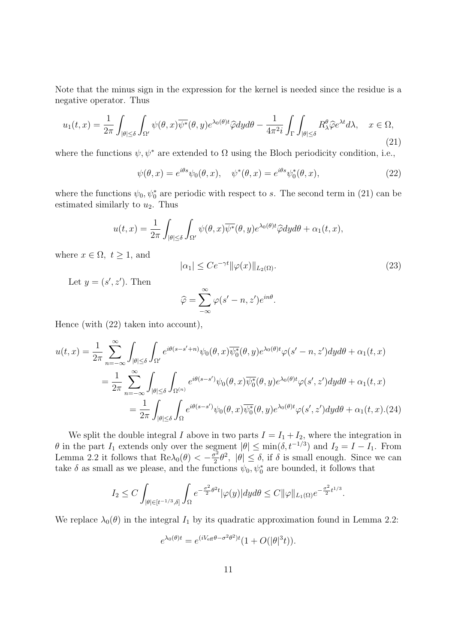Note that the minus sign in the expression for the kernel is needed since the residue is a negative operator. Thus

$$
u_1(t,x) = \frac{1}{2\pi} \int_{|\theta| \le \delta} \int_{\Omega'} \psi(\theta, x) \overline{\psi^*}(\theta, y) e^{\lambda_0(\theta)t} \widehat{\varphi} dy d\theta - \frac{1}{4\pi^2 i} \int_{\Gamma} \int_{|\theta| \le \delta} R_\lambda^{\theta} \widehat{\varphi} e^{\lambda t} d\lambda, \quad x \in \Omega,
$$
\n(21)

where the functions  $\psi, \psi^*$  are extended to  $\Omega$  using the Bloch periodicity condition, i.e.,

$$
\psi(\theta, x) = e^{i\theta s} \psi_0(\theta, x), \quad \psi^*(\theta, x) = e^{i\theta s} \psi_0^*(\theta, x), \tag{22}
$$

where the functions  $\psi_0, \psi_0^*$  are periodic with respect to *s*. The second term in (21) can be estimated similarly to  $u_2$ . Thus

$$
u(t,x) = \frac{1}{2\pi} \int_{|\theta| \leq \delta} \int_{\Omega'} \psi(\theta, x) \overline{\psi^*}(\theta, y) e^{\lambda_0(\theta)t} \widehat{\varphi} dy d\theta + \alpha_1(t, x),
$$

where  $x \in \Omega$ ,  $t \geq 1$ , and

$$
|\alpha_1| \le C e^{-\gamma t} ||\varphi(x)||_{L_2(\Omega)}.
$$
\n(23)

Let  $y = (s', z')$ . Then

$$
\widehat{\varphi} = \sum_{-\infty}^{\infty} \varphi(s' - n, z') e^{in\theta}.
$$

Hence (with (22) taken into account),

$$
u(t,x) = \frac{1}{2\pi} \sum_{n=-\infty}^{\infty} \int_{|\theta| \le \delta} \int_{\Omega'} e^{i\theta(s-s'+n)} \psi_0(\theta, x) \overline{\psi_0^*}(\theta, y) e^{\lambda_0(\theta)t} \varphi(s'-n, z') dy d\theta + \alpha_1(t, x)
$$
  

$$
= \frac{1}{2\pi} \sum_{n=-\infty}^{\infty} \int_{|\theta| \le \delta} \int_{\Omega^{(n)}} e^{i\theta(s-s')} \psi_0(\theta, x) \overline{\psi_0^*}(\theta, y) e^{\lambda_0(\theta)t} \varphi(s', z') dy d\theta + \alpha_1(t, x)
$$
  

$$
= \frac{1}{2\pi} \int_{|\theta| \le \delta} \int_{\Omega} e^{i\theta(s-s')} \psi_0(\theta, x) \overline{\psi_0^*}(\theta, y) e^{\lambda_0(\theta)t} \varphi(s', z') dy d\theta + \alpha_1(t, x). (24)
$$

We split the double integral *I* above in two parts  $I = I_1 + I_2$ , where the integration in *θ* in the part *I*<sub>1</sub> extends only over the segment  $|\theta| \le \min(\delta, t^{-1/3})$  and  $I_2 = I - I_1$ . From Lemma 2.2 it follows that  $\text{Re}\lambda_0(\theta) < -\frac{\sigma^2}{2}$  $\frac{\partial^2}{\partial^2} \theta^2$ ,  $|\theta| \le \delta$ , if  $\delta$  is small enough. Since we can take  $\delta$  as small as we please, and the functions  $\psi_0, \psi_0^*$  are bounded, it follows that

$$
I_2 \leq C \int_{|\theta| \in [t^{-1/3},\delta]} \int_{\Omega} e^{-\frac{\sigma^2}{2}\theta^2t} |\varphi(y)| dy d\theta \leq C ||\varphi||_{L_1(\Omega)} e^{-\frac{\sigma^2}{2}t^{1/3}}.
$$

We replace  $\lambda_0(\theta)$  in the integral  $I_1$  by its quadratic approximation found in Lemma 2.2:

$$
e^{\lambda_0(\theta)t} = e^{(iV_{\text{eff}}\theta - \sigma^2\theta^2)t}(1 + O(|\theta|^3 t)).
$$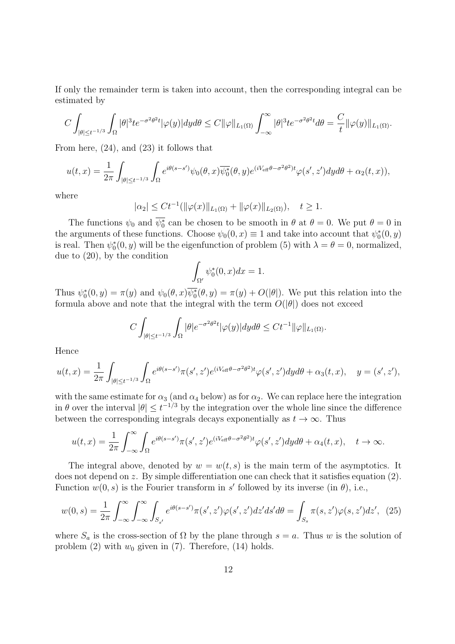If only the remainder term is taken into account, then the corresponding integral can be estimated by

$$
C\int_{|\theta|\leq t^{-1/3}}\int_{\Omega}|\theta|^3te^{-\sigma^2\theta^2t}|\varphi(y)|dyd\theta\leq C\|\varphi\|_{L_1(\Omega)}\int_{-\infty}^{\infty}|\theta|^3te^{-\sigma^2\theta^2t}d\theta=\frac{C}{t}\|\varphi(y)\|_{L_1(\Omega)}.
$$

From here, (24), and (23) it follows that

$$
u(t,x) = \frac{1}{2\pi} \int_{|\theta| \le t^{-1/3}} \int_{\Omega} e^{i\theta(s-s')} \psi_0(\theta,x) \overline{\psi_0^*}(\theta,y) e^{(iV_{\text{eff}}\theta - \sigma^2 \theta^2)t} \varphi(s',z') dy d\theta + \alpha_2(t,x)),
$$

where

$$
|\alpha_2| \leq Ct^{-1}(\|\varphi(x)\|_{L_1(\Omega)} + \|\varphi(x)\|_{L_2(\Omega)}), \quad t \geq 1.
$$

The functions  $\psi_0$  and  $\overline{\psi_0^*}$  can be chosen to be smooth in  $\theta$  at  $\theta = 0$ . We put  $\theta = 0$  in the arguments of these functions. Choose  $\psi_0(0, x) \equiv 1$  and take into account that  $\psi_0^*(0, y)$ is real. Then  $\psi_0^*(0, y)$  will be the eigenfunction of problem (5) with  $\lambda = \theta = 0$ , normalized, due to (20), by the condition

$$
\int_{\Omega'} \psi_0^*(0, x) dx = 1.
$$

Thus  $\psi_0^*(0, y) = \pi(y)$  and  $\psi_0(\theta, x) \overline{\psi_0^*(\theta, y)} = \pi(y) + O(|\theta|)$ . We put this relation into the formula above and note that the integral with the term  $O(|\theta|)$  does not exceed

$$
C\int_{|\theta|\leq t^{-1/3}}\int_{\Omega}|\theta|e^{-\sigma^2\theta^2t}|\varphi(y)|dyd\theta\leq Ct^{-1}\|\varphi\|_{L_1(\Omega)}.
$$

Hence

$$
u(t,x) = \frac{1}{2\pi} \int_{|\theta| \le t^{-1/3}} \int_{\Omega} e^{i\theta(s-s')} \pi(s',z') e^{(iV_{\text{eff}}\theta - \sigma^2\theta^2)t} \varphi(s',z') dy d\theta + \alpha_3(t,x), \quad y = (s',z'),
$$

with the same estimate for  $\alpha_3$  (and  $\alpha_4$  below) as for  $\alpha_2$ . We can replace here the integration in  $\theta$  over the interval  $|\theta| \le t^{-1/3}$  by the integration over the whole line since the difference between the corresponding integrals decays exponentially as  $t \to \infty$ . Thus

$$
u(t,x) = \frac{1}{2\pi} \int_{-\infty}^{\infty} \int_{\Omega} e^{i\theta(s-s')} \pi(s',z') e^{(iV_{\text{eff}}\theta - \sigma^2\theta^2)t} \varphi(s',z') dy d\theta + \alpha_4(t,x), \quad t \to \infty.
$$

The integral above, denoted by  $w = w(t, s)$  is the main term of the asymptotics. It does not depend on *z*. By simple differentiation one can check that it satisfies equation (2). Function  $w(0, s)$  is the Fourier transform in *s'* followed by its inverse (in  $\theta$ ), i.e.,

$$
w(0,s) = \frac{1}{2\pi} \int_{-\infty}^{\infty} \int_{-\infty}^{\infty} \int_{S_{s'}} e^{i\theta(s-s')} \pi(s',z')\varphi(s',z')dz'ds'd\theta = \int_{S_s} \pi(s,z')\varphi(s,z')dz', \tag{25}
$$

where  $S_a$  is the cross-section of  $\Omega$  by the plane through  $s = a$ . Thus *w* is the solution of problem  $(2)$  with  $w_0$  given in  $(7)$ . Therefore,  $(14)$  holds.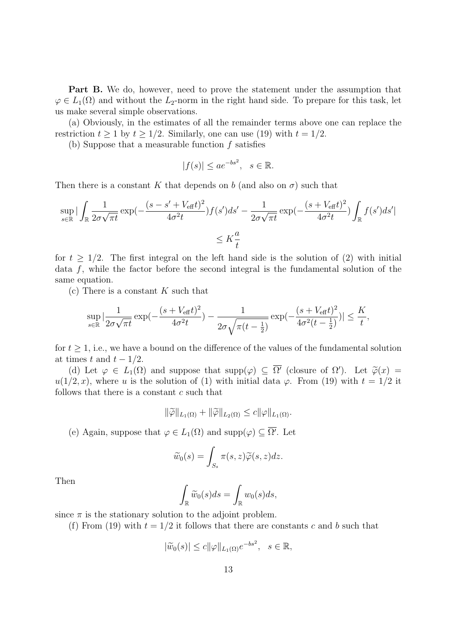**Part B.** We do, however, need to prove the statement under the assumption that  $\varphi \in L_1(\Omega)$  and without the *L*<sub>2</sub>-norm in the right hand side. To prepare for this task, let us make several simple observations.

(a) Obviously, in the estimates of all the remainder terms above one can replace the restriction  $t \ge 1$  by  $t \ge 1/2$ . Similarly, one can use (19) with  $t = 1/2$ .

(b) Suppose that a measurable function *f* satisfies

$$
|f(s)| \le a e^{-bs^2}, \quad s \in \mathbb{R}.
$$

Then there is a constant *K* that depends on *b* (and also on  $\sigma$ ) such that

$$
\sup_{s \in \mathbb{R}} \left| \int_{\mathbb{R}} \frac{1}{2\sigma\sqrt{\pi t}} \exp(-\frac{(s - s' + V_{\text{eff}}t)^2}{4\sigma^2 t}) f(s') ds' - \frac{1}{2\sigma\sqrt{\pi t}} \exp(-\frac{(s + V_{\text{eff}}t)^2}{4\sigma^2 t}) \int_{\mathbb{R}} f(s') ds' \right|
$$
  

$$
\leq K \frac{a}{t}
$$

for  $t \geq 1/2$ . The first integral on the left hand side is the solution of (2) with initial data *f*, while the factor before the second integral is the fundamental solution of the same equation.

(c) There is a constant *K* such that

$$
\sup_{s \in \mathbb{R}} \left| \frac{1}{2\sigma\sqrt{\pi t}} \exp(-\frac{(s + V_{\text{eff}}t)^2}{4\sigma^2 t}) - \frac{1}{2\sigma\sqrt{\pi (t - \frac{1}{2})}} \exp(-\frac{(s + V_{\text{eff}}t)^2}{4\sigma^2 (t - \frac{1}{2})}) \right| \le \frac{K}{t},
$$

for  $t \geq 1$ , i.e., we have a bound on the difference of the values of the fundamental solution at times *t* and  $t - 1/2$ .

(d) Let  $\varphi \in L_1(\Omega)$  and suppose that  $\text{supp}(\varphi) \subseteq \overline{\Omega'}$  (closure of  $\Omega'$ ). Let  $\tilde{\varphi}(x) =$  $u(1/2, x)$ , where *u* is the solution of (1) with initial data *φ*. From (19) with  $t = 1/2$  it follows that there is a constant *c* such that

$$
\|\widetilde{\varphi}\|_{L_1(\Omega)} + \|\widetilde{\varphi}\|_{L_2(\Omega)} \leq c \|\varphi\|_{L_1(\Omega)}.
$$

(e) Again, suppose that  $\varphi \in L_1(\Omega)$  and  $\text{supp}(\varphi) \subseteq \overline{\Omega'}$ . Let

$$
\widetilde{w}_0(s) = \int_{S_s} \pi(s, z) \widetilde{\varphi}(s, z) dz.
$$

Then

$$
\int_{\mathbb{R}} \widetilde{w}_0(s) ds = \int_{\mathbb{R}} w_0(s) ds,
$$

since  $\pi$  is the stationary solution to the adjoint problem.

(f) From (19) with  $t = 1/2$  it follows that there are constants c and b such that

$$
|\widetilde{w}_0(s)| \leq c ||\varphi||_{L_1(\Omega)} e^{-bs^2}, \quad s \in \mathbb{R},
$$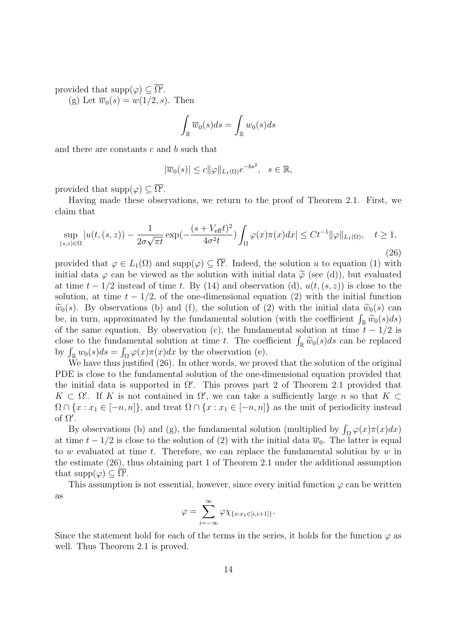provided that  $\text{supp}(\varphi) \subseteq \Omega'$ .

(g) Let  $\overline{w}_0(s) = w(1/2, s)$ . Then

$$
\int_{\mathbb{R}} \overline{w}_0(s) ds = \int_{\mathbb{R}} w_0(s) ds
$$

and there are constants *c* and *b* such that

$$
|\overline{w}_0(s)| \leq c ||\varphi||_{L_1(\Omega)} e^{-bs^2}, \quad s \in \mathbb{R},
$$

provided that  $\text{supp}(\varphi) \subseteq \Omega'$ .

Having made these observations, we return to the proof of Theorem 2.1. First, we claim that

$$
\sup_{(s,z)\in\Omega} |u(t,(s,z)) - \frac{1}{2\sigma\sqrt{\pi t}} \exp(-\frac{(s+V_{\text{eff}}t)^2}{4\sigma^2 t}) \int_{\Omega} \varphi(x)\pi(x)dx| \le Ct^{-1} \|\varphi\|_{L_1(\Omega)}, \quad t \ge 1,
$$
\n(26)

provided that  $\varphi \in L_1(\Omega)$  and  $\text{supp}(\varphi) \subseteq \Omega'$ . Indeed, the solution *u* to equation (1) with initial data  $\varphi$  can be viewed as the solution with initial data  $\tilde{\varphi}$  (see (d)), but evaluated at time  $t - 1/2$  instead of time *t*. By (14) and observation (d),  $u(t, (s, z))$  is close to the solution, at time  $t - 1/2$ , of the one-dimensional equation (2) with the initial function  $\widetilde{w}_0(s)$ . By observations (b) and (f), the solution of (2) with the initial data  $\widetilde{w}_0(s)$  can be, in turn, approximated by the fundamental solution (with the coefficient  $\int_{\mathbb{R}} \widetilde{w}_0(s) ds$ ) of the same equation. By observation (c), the fundamental solution at time  $t - 1/2$  is close to the fundamental solution at time *t*. The coefficient  $\int_{\mathbb{R}} \widetilde{w}_0(s) ds$  can be replaced by  $\int_{\mathbb{R}} w_0(s)ds = \int_{\Omega} \varphi(x)\pi(x)dx$  by the observation (e).

We have thus justified (26). In other words, we proved that the solution of the original PDE is close to the fundamental solution of the one-dimensional equation provided that the initial data is supported in  $\Omega'$ . This proves part 2 of Theorem 2.1 provided that  $K \subset \Omega'$ . If *K* is not contained in  $\Omega'$ , we can take a sufficiently large *n* so that  $K \subset$  $\Omega \cap \{x : x_1 \in [-n, n]\}$ , and treat  $\Omega \cap \{x : x_1 \in [-n, n]\}$  as the unit of periodicity instead of Ω *′* .

By observations (b) and (g), the fundamental solution (multiplied by  $\int_{\Omega} \varphi(x)\pi(x)dx$ ) at time  $t - 1/2$  is close to the solution of (2) with the initial data  $\overline{w}_0$ . The latter is equal to *w* evaluated at time *t*. Therefore, we can replace the fundamental solution by *w* in the estimate (26), thus obtaining part 1 of Theorem 2.1 under the additional assumption that  $\text{supp}(\varphi) \subseteq \overline{\Omega'}$ .

This assumption is not essential, however, since every initial function  $\varphi$  can be written as

$$
\varphi = \sum_{i=-\infty}^{\infty} \varphi \chi_{\{x:x_1 \in [i,i+1]\}}.
$$

Since the statement hold for each of the terms in the series, it holds for the function  $\varphi$  as well. Thus Theorem 2.1 is proved.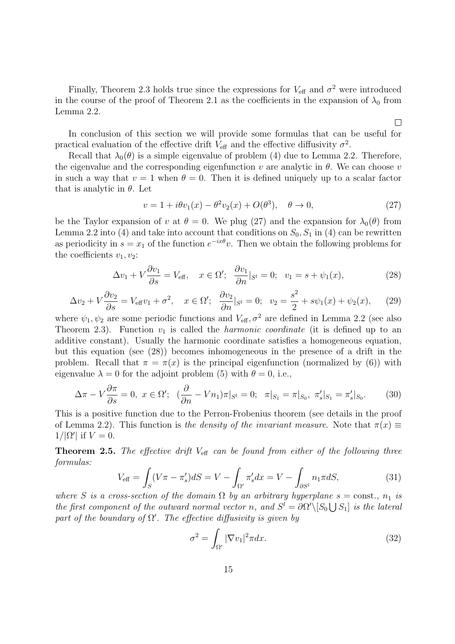Finally, Theorem 2.3 holds true since the expressions for  $V_{\text{eff}}$  and  $\sigma^2$  were introduced in the course of the proof of Theorem 2.1 as the coefficients in the expansion of  $\lambda_0$  from Lemma 2.2.

In conclusion of this section we will provide some formulas that can be useful for practical evaluation of the effective drift  $V_{\text{eff}}$  and the effective diffusivity  $\sigma^2$ .

Recall that  $\lambda_0(\theta)$  is a simple eigenvalue of problem (4) due to Lemma 2.2. Therefore, the eigenvalue and the corresponding eigenfunction  $v$  are analytic in  $\theta$ . We can choose  $v$ in such a way that  $v = 1$  when  $\theta = 0$ . Then it is defined uniquely up to a scalar factor that is analytic in *θ*. Let

$$
v = 1 + i\theta v_1(x) - \theta^2 v_2(x) + O(\theta^3), \quad \theta \to 0,
$$
\n(27)

 $\Box$ 

be the Taylor expansion of *v* at  $\theta = 0$ . We plug (27) and the expansion for  $\lambda_0(\theta)$  from Lemma 2.2 into (4) and take into account that conditions on  $S_0$ ,  $S_1$  in (4) can be rewritten as periodicity in  $s = x_1$  of the function  $e^{-ix\theta}v$ . Then we obtain the following problems for the coefficients  $v_1, v_2$ :

$$
\Delta v_1 + V \frac{\partial v_1}{\partial s} = V_{\text{eff}}, \quad x \in \Omega'; \quad \frac{\partial v_1}{\partial n}|_{S^l} = 0; \quad v_1 = s + \psi_1(x), \tag{28}
$$

$$
\Delta v_2 + V \frac{\partial v_2}{\partial s} = V_{\text{eff}} v_1 + \sigma^2, \quad x \in \Omega'; \quad \frac{\partial v_2}{\partial n} |_{S^l} = 0; \quad v_2 = \frac{s^2}{2} + s\psi_1(x) + \psi_2(x), \tag{29}
$$

where  $\psi_1, \psi_2$  are some periodic functions and  $V_{\text{eff}}$ ,  $\sigma^2$  are defined in Lemma 2.2 (see also Theorem 2.3). Function  $v_1$  is called the *harmonic coordinate* (it is defined up to an additive constant). Usually the harmonic coordinate satisfies a homogeneous equation, but this equation (see (28)) becomes inhomogeneous in the presence of a drift in the problem. Recall that  $\pi = \pi(x)$  is the principal eigenfunction (normalized by (6)) with eigenvalue  $\lambda = 0$  for the adjoint problem (5) with  $\theta = 0$ , i.e.,

$$
\Delta \pi - V \frac{\partial \pi}{\partial s} = 0, \ x \in \Omega'; \ \ (\frac{\partial}{\partial n} - V n_1) \pi |_{S^l} = 0; \ \ \pi |_{S_1} = \pi |_{S_0}, \ \pi'_s |_{S_1} = \pi'_s |_{S_0}.
$$
 (30)

This is a positive function due to the Perron-Frobenius theorem (see details in the proof of Lemma 2.2). This function is *the density of the invariant measure*. Note that  $\pi(x) \equiv$  $1/|\Omega'|$  if  $V = 0$ .

**Theorem 2.5.** *The effective drift*  $V_{\text{eff}}$  *can be found from either of the following three formulas:*

$$
V_{\text{eff}} = \int_{S} (V\pi - \pi_s') dS = V - \int_{\Omega'} \pi_s' dx = V - \int_{\partial S'} n_1 \pi dS,
$$
\n(31)

*where S is a cross-section of the domain*  $\Omega$  *by an arbitrary hyperplane*  $s = \text{const.}$ *,*  $n_1$  *is the first component of the outward normal vector n*, and  $S^l = \partial \Omega' \setminus [S_0 \cup S_1]$  *is the lateral* part of the boundary of  $\Omega'$ . The effective diffusivity is given by

$$
\sigma^2 = \int_{\Omega'} |\nabla v_1|^2 \pi dx. \tag{32}
$$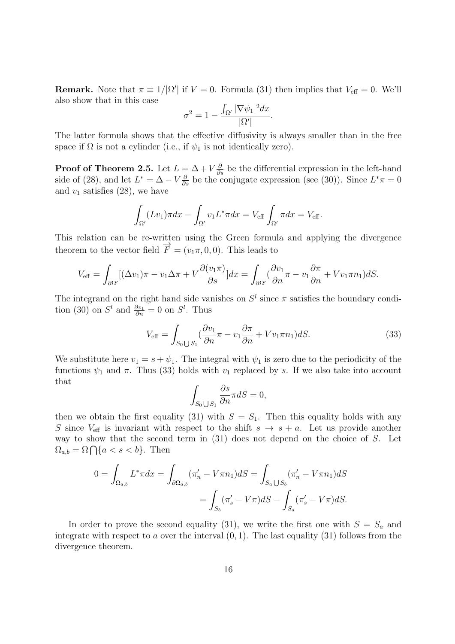**Remark.** Note that  $\pi \equiv 1/|\Omega'|$  if  $V = 0$ . Formula (31) then implies that  $V_{\text{eff}} = 0$ . We'll also show that in this case

$$
\sigma^2 = 1 - \frac{\int_{\Omega'} |\nabla \psi_1|^2 dx}{|\Omega'|}.
$$

The latter formula shows that the effective diffusivity is always smaller than in the free space if  $\Omega$  is not a cylinder (i.e., if  $\psi_1$  is not identically zero).

**Proof of Theorem 2.5.** Let  $L = \Delta + V \frac{\partial}{\partial s}$  be the differential expression in the left-hand side of (28), and let  $L^* = \Delta - V \frac{\partial}{\partial s}$  be the conjugate expression (see (30)). Since  $L^* \pi = 0$ and  $v_1$  satisfies  $(28)$ , we have

$$
\int_{\Omega'} (Lv_1)\pi dx - \int_{\Omega'} v_1 L^* \pi dx = V_{\text{eff}} \int_{\Omega'} \pi dx = V_{\text{eff}}.
$$

This relation can be re-written using the Green formula and applying the divergence theorem to the vector field  $\overrightarrow{F} = (v_1 \pi, 0, 0)$ . This leads to

$$
V_{\text{eff}} = \int_{\partial \Omega'} [(\Delta v_1)\pi - v_1 \Delta \pi + V \frac{\partial (v_1 \pi)}{\partial s}] dx = \int_{\partial \Omega'} (\frac{\partial v_1}{\partial n} \pi - v_1 \frac{\partial \pi}{\partial n} + V v_1 \pi n_1) dS.
$$

The integrand on the right hand side vanishes on  $S^l$  since  $\pi$  satisfies the boundary condition (30) on  $S^l$  and  $\frac{\partial v_1}{\partial n} = 0$  on  $S^l$ . Thus

$$
V_{\text{eff}} = \int_{S_0 \cup S_1} (\frac{\partial v_1}{\partial n} \pi - v_1 \frac{\partial \pi}{\partial n} + V v_1 \pi n_1) dS. \tag{33}
$$

We substitute here  $v_1 = s + \psi_1$ . The integral with  $\psi_1$  is zero due to the periodicity of the functions  $\psi_1$  and  $\pi$ . Thus (33) holds with  $v_1$  replaced by *s*. If we also take into account that

$$
\int_{S_0 \bigcup S_1} \frac{\partial s}{\partial n} \pi dS = 0,
$$

then we obtain the first equality (31) with  $S = S_1$ . Then this equality holds with any *S* since  $V_{\text{eff}}$  is invariant with respect to the shift  $s \rightarrow s + a$ . Let us provide another way to show that the second term in (31) does not depend on the choice of *S*. Let  $\Omega_{a,b} = \Omega \bigcap \{a < s < b\}.$  Then

$$
0 = \int_{\Omega_{a,b}} L^* \pi dx = \int_{\partial \Omega_{a,b}} (\pi'_n - V \pi n_1) dS = \int_{S_a \bigcup S_b} (\pi'_n - V \pi n_1) dS
$$
  
= 
$$
\int_{S_b} (\pi'_s - V \pi) dS - \int_{S_a} (\pi'_s - V \pi) dS.
$$

In order to prove the second equality (31), we write the first one with  $S = S_a$  and integrate with respect to *a* over the interval (0*,* 1). The last equality (31) follows from the divergence theorem.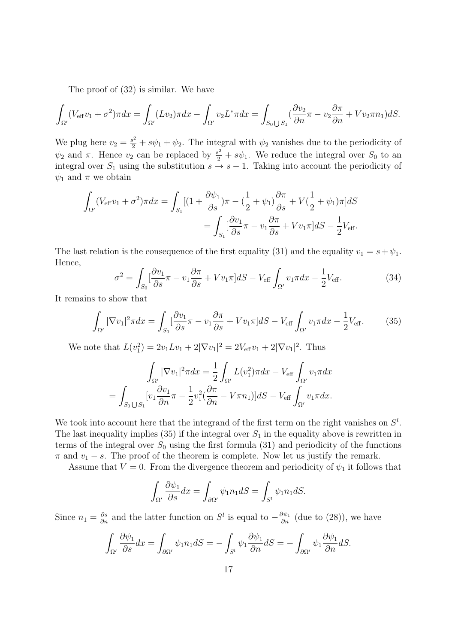The proof of (32) is similar. We have

$$
\int_{\Omega'} (V_{\text{eff}}v_1 + \sigma^2) \pi dx = \int_{\Omega'} (Lv_2) \pi dx - \int_{\Omega'} v_2 L^* \pi dx = \int_{S_0 \cup S_1} (\frac{\partial v_2}{\partial n} \pi - v_2 \frac{\partial \pi}{\partial n} + V v_2 \pi n_1) dS.
$$

We plug here  $v_2 = \frac{s^2}{2} + s\psi_1 + \psi_2$ . The integral with  $\psi_2$  vanishes due to the periodicity of  $\psi_2$  and *π*. Hence *v*<sub>2</sub> can be replaced by  $\frac{s^2}{2} + s\psi_1$ . We reduce the integral over *S*<sub>0</sub> to an integral over  $S_1$  using the substitution  $s \to s-1$ . Taking into account the periodicity of  $\psi_1$  and  $\pi$  we obtain

$$
\int_{\Omega'} (V_{\text{eff}}v_1 + \sigma^2) \pi dx = \int_{S_1} [(1 + \frac{\partial \psi_1}{\partial s}) \pi - (\frac{1}{2} + \psi_1) \frac{\partial \pi}{\partial s} + V(\frac{1}{2} + \psi_1) \pi] dS
$$
  
= 
$$
\int_{S_1} [\frac{\partial v_1}{\partial s} \pi - v_1 \frac{\partial \pi}{\partial s} + V v_1 \pi] dS - \frac{1}{2} V_{\text{eff}}.
$$

The last relation is the consequence of the first equality (31) and the equality  $v_1 = s + \psi_1$ . Hence,

$$
\sigma^2 = \int_{S_0} \left[ \frac{\partial v_1}{\partial s} \pi - v_1 \frac{\partial \pi}{\partial s} + V v_1 \pi \right] dS - V_{\text{eff}} \int_{\Omega'} v_1 \pi dx - \frac{1}{2} V_{\text{eff}}.
$$
 (34)

It remains to show that

$$
\int_{\Omega'} |\nabla v_1|^2 \pi dx = \int_{S_0} \left[ \frac{\partial v_1}{\partial s} \pi - v_1 \frac{\partial \pi}{\partial s} + V v_1 \pi \right] dS - V_{\text{eff}} \int_{\Omega'} v_1 \pi dx - \frac{1}{2} V_{\text{eff}}.
$$
 (35)

We note that  $L(v_1^2) = 2v_1Lv_1 + 2|\nabla v_1|^2 = 2V_{\text{eff}}v_1 + 2|\nabla v_1|^2$ . Thus

$$
\int_{\Omega'} |\nabla v_1|^2 \pi dx = \frac{1}{2} \int_{\Omega'} L(v_1^2) \pi dx - V_{\text{eff}} \int_{\Omega'} v_1 \pi dx
$$

$$
= \int_{S_0 \bigcup S_1} [v_1 \frac{\partial v_1}{\partial n} \pi - \frac{1}{2} v_1^2 (\frac{\partial \pi}{\partial n} - V \pi n_1)] dS - V_{\text{eff}} \int_{\Omega'} v_1 \pi dx.
$$

We took into account here that the integrand of the first term on the right vanishes on  $S^l$ . The last inequality implies  $(35)$  if the integral over  $S_1$  in the equality above is rewritten in terms of the integral over  $S_0$  using the first formula (31) and periodicity of the functions  $\pi$  and  $v_1 - s$ . The proof of the theorem is complete. Now let us justify the remark.

Assume that  $V = 0$ . From the divergence theorem and periodicity of  $\psi_1$  it follows that

$$
\int_{\Omega'} \frac{\partial \psi_1}{\partial s} dx = \int_{\partial \Omega'} \psi_1 n_1 dS = \int_{S^l} \psi_1 n_1 dS.
$$

Since  $n_1 = \frac{\partial s}{\partial n}$  and the latter function on  $S^l$  is equal to  $-\frac{\partial \psi_1}{\partial n}$  (due to (28)), we have

$$
\int_{\Omega'} \frac{\partial \psi_1}{\partial s} dx = \int_{\partial \Omega'} \psi_1 n_1 dS = -\int_{S^l} \psi_1 \frac{\partial \psi_1}{\partial n} dS = -\int_{\partial \Omega'} \psi_1 \frac{\partial \psi_1}{\partial n} dS.
$$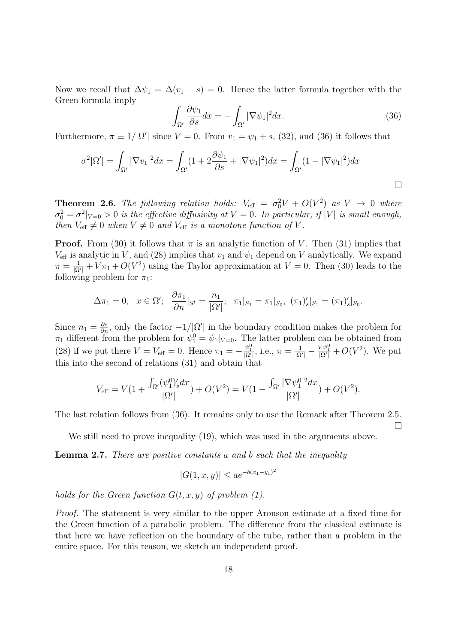Now we recall that  $\Delta \psi_1 = \Delta (v_1 - s) = 0$ . Hence the latter formula together with the Green formula imply

$$
\int_{\Omega'} \frac{\partial \psi_1}{\partial s} dx = -\int_{\Omega'} |\nabla \psi_1|^2 dx.
$$
\n(36)

Furthermore,  $\pi \equiv 1/|\Omega'|$  since  $V = 0$ . From  $v_1 = \psi_1 + s$ , (32), and (36) it follows that

$$
\sigma^2 |\Omega'| = \int_{\Omega'} |\nabla v_1|^2 dx = \int_{\Omega'} (1 + 2\frac{\partial \psi_1}{\partial s} + |\nabla \psi_1|^2) dx = \int_{\Omega'} (1 - |\nabla \psi_1|^2) dx
$$

**Theorem 2.6.** *The following relation holds:*  $V_{\text{eff}} = \sigma_0^2 V + O(V^2)$  *as*  $V \rightarrow 0$  *where*  $\sigma_0^2 = \sigma^2 |_{V=0} > 0$  *is the effective diffusivity at*  $V = 0$ *. In particular, if*  $|V|$  *is small enough, then*  $V_{\text{eff}} \neq 0$  *when*  $V \neq 0$  *and*  $V_{\text{eff}}$  *is a monotone function of V*.

**Proof.** From (30) it follows that  $\pi$  is an analytic function of *V*. Then (31) implies that  $V_{\text{eff}}$  is analytic in *V*, and (28) implies that  $v_1$  and  $\psi_1$  depend on *V* analytically. We expand  $\pi = \frac{1}{10}$  $\frac{1}{|\Omega'|} + V \pi_1 + O(V^2)$  using the Taylor approximation at  $V = 0$ . Then (30) leads to the following problem for  $\pi_1$ :

$$
\Delta \pi_1 = 0, \quad x \in \Omega'; \quad \frac{\partial \pi_1}{\partial n}|_{S^l} = \frac{n_1}{|\Omega'|}; \quad \pi_1|_{S_1} = \pi_1|_{S_0}, \quad (\pi_1)'_s|_{S_1} = (\pi_1)'_s|_{S_0}.
$$

Since  $n_1 = \frac{\partial s}{\partial n}$ , only the factor  $-1/|\Omega'|$  in the boundary condition makes the problem for  $\pi_1$  different from the problem for  $\psi_1^0 = \psi_1|_{V=0}$ . The latter problem can be obtained from (28) if we put there  $V = V_{\text{eff}} = 0$ . Hence  $\pi_1 = -\frac{\psi_1^0}{|\Omega'|}$ , i.e.,  $\pi = \frac{1}{|\Omega|}$  $\frac{1}{|\Omega'|} - \frac{V \psi_1^0}{|\Omega'|} + O(V^2)$ . We put this into the second of relations (31) and obtain that

$$
V_{\text{eff}} = V(1 + \frac{\int_{\Omega'} (\psi_1^0)'_s dx}{|\Omega'|}) + O(V^2) = V(1 - \frac{\int_{\Omega'} |\nabla \psi_1^0|^2 dx}{|\Omega'|}) + O(V^2).
$$

The last relation follows from (36). It remains only to use the Remark after Theorem 2.5.

 $\Box$ 

We still need to prove inequality (19), which was used in the arguments above.

**Lemma 2.7.** *There are positive constants a and b such that the inequality*

$$
|G(1, x, y)| \le a e^{-b(x_1 - y_1)^2}
$$

*holds for the Green function*  $G(t, x, y)$  *of problem* (1).

*Proof.* The statement is very similar to the upper Aronson estimate at a fixed time for the Green function of a parabolic problem. The difference from the classical estimate is that here we have reflection on the boundary of the tube, rather than a problem in the entire space. For this reason, we sketch an independent proof.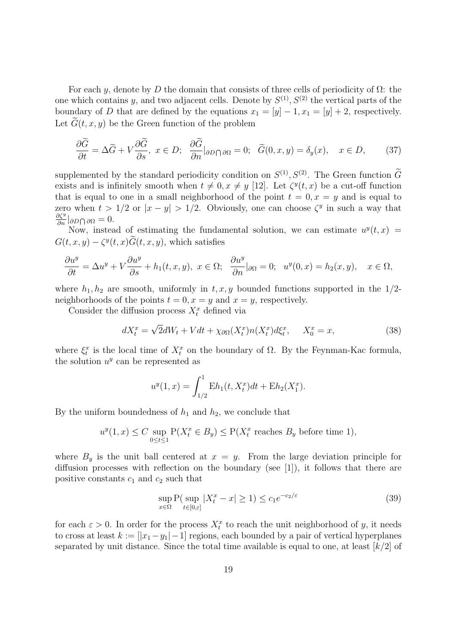For each *y*, denote by *D* the domain that consists of three cells of periodicity of Ω: the one which contains *y*, and two adjacent cells. Denote by  $S^{(1)}$ ,  $S^{(2)}$  the vertical parts of the boundary of *D* that are defined by the equations  $x_1 = [y] - 1, x_1 = [y] + 2$ , respectively. Let  $\tilde{G}(t, x, y)$  be the Green function of the problem

$$
\frac{\partial \widetilde{G}}{\partial t} = \Delta \widetilde{G} + V \frac{\partial \widetilde{G}}{\partial s}, \ x \in D; \ \frac{\partial \widetilde{G}}{\partial n} |_{\partial D \cap \partial \Omega} = 0; \ \ \widetilde{G}(0, x, y) = \delta_y(x), \quad x \in D, \tag{37}
$$

supplemented by the standard periodicity condition on  $S^{(1)}$ ,  $S^{(2)}$ . The Green function *G* exists and is infinitely smooth when  $t \neq 0, x \neq y$  [12]. Let  $\zeta^y(t, x)$  be a cut-off function that is equal to one in a small neighborhood of the point  $t = 0, x = y$  and is equal to zero when  $t > 1/2$  or  $|x - y| > 1/2$ . Obviously, one can choose  $\zeta^y$  in such a way that *∂ζ<sup>y</sup> ∂n |∂D* <sup>∩</sup> *<sup>∂</sup>*<sup>Ω</sup> = 0.

Now, instead of estimating the fundamental solution, we can estimate  $u^y(t, x)$  =  $G(t, x, y) - \zeta^{y}(t, x)G(t, x, y)$ , which satisfies

$$
\frac{\partial u^y}{\partial t} = \Delta u^y + V \frac{\partial u^y}{\partial s} + h_1(t, x, y), \ x \in \Omega; \ \frac{\partial u^y}{\partial n}|_{\partial \Omega} = 0; \ \ u^y(0, x) = h_2(x, y), \quad x \in \Omega,
$$

where  $h_1, h_2$  are smooth, uniformly in  $t, x, y$  bounded functions supported in the  $1/2$ neighborhoods of the points  $t = 0, x = y$  and  $x = y$ , respectively.

Consider the diffusion process  $X_t^x$  defined via

$$
dX_t^x = \sqrt{2}dW_t + Vdt + \chi_{\partial\Omega}(X_t^x)n(X_t^x)d\xi_t^x, \quad X_0^x = x,\tag{38}
$$

where  $\xi_t^x$  is the local time of  $X_t^x$  on the boundary of  $\Omega$ . By the Feynman-Kac formula, the solution  $u^y$  can be represented as

$$
u^{y}(1,x) = \int_{1/2}^{1} Eh_1(t, X_t^x)dt + Eh_2(X_1^x).
$$

By the uniform boundedness of  $h_1$  and  $h_2$ , we conclude that

$$
u^{y}(1,x) \leq C \sup_{0 \leq t \leq 1} \mathcal{P}(X_t^x \in B_y) \leq \mathcal{P}(X_t^x \text{ reaches } B_y \text{ before time } 1),
$$

where  $B_y$  is the unit ball centered at  $x = y$ . From the large deviation principle for diffusion processes with reflection on the boundary (see [1]), it follows that there are positive constants  $c_1$  and  $c_2$  such that

$$
\sup_{x \in \Omega} \mathcal{P}(\sup_{t \in [0,\varepsilon]} |X_t^x - x| \ge 1) \le c_1 e^{-c_2/\varepsilon} \tag{39}
$$

for each  $\varepsilon > 0$ . In order for the process  $X_t^x$  to reach the unit neighborhood of *y*, it needs to cross at least  $k := [x_1 - y_1] - 1$  regions, each bounded by a pair of vertical hyperplanes separated by unit distance. Since the total time available is equal to one, at least [*k/*2] of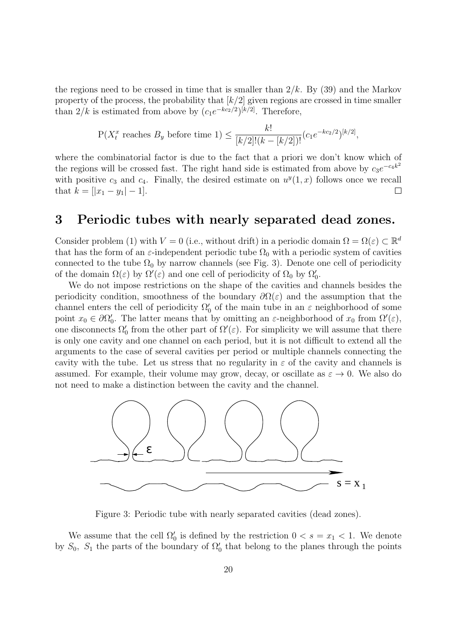the regions need to be crossed in time that is smaller than 2*/k*. By (39) and the Markov property of the process, the probability that [*k/*2] given regions are crossed in time smaller than  $2/k$  is estimated from above by  $(c_1e^{-kc_2/2})^{[k/2]}$ . Therefore,

$$
P(X_t^x \text{ reaches } B_y \text{ before time 1}) \leq \frac{k!}{[k/2]!(k - [k/2])!} (c_1 e^{-k c_2/2})^{[k/2]},
$$

where the combinatorial factor is due to the fact that a priori we don't know which of the regions will be crossed fast. The right hand side is estimated from above by  $c_3e^{-c_4k^2}$ with positive  $c_3$  and  $c_4$ . Finally, the desired estimate on  $u^y(1, x)$  follows once we recall that  $k = [ |x_1 - y_1| - 1].$  $\Box$ 

#### **3 Periodic tubes with nearly separated dead zones.**

Consider problem (1) with  $V = 0$  (i.e., without drift) in a periodic domain  $\Omega = \Omega(\varepsilon) \subset \mathbb{R}^d$ that has the form of an  $\varepsilon$ -independent periodic tube  $\Omega_0$  with a periodic system of cavities connected to the tube  $\Omega_0$  by narrow channels (see Fig. 3). Denote one cell of periodicity of the domain  $\Omega(\varepsilon)$  by  $\Omega'(\varepsilon)$  and one cell of periodicity of  $\Omega_0$  by  $\Omega'_0$ .

We do not impose restrictions on the shape of the cavities and channels besides the periodicity condition, smoothness of the boundary  $\partial\Omega(\varepsilon)$  and the assumption that the channel enters the cell of periodicity  $\Omega'_{0}$  of the main tube in an  $\varepsilon$  neighborhood of some point  $x_0 \in \partial \Omega'_0$ . The latter means that by omitting an  $\varepsilon$ -neighborhood of  $x_0$  from  $\Omega'(\varepsilon)$ , one disconnects  $\Omega'_0$  from the other part of  $\Omega'(\varepsilon)$ . For simplicity we will assume that there is only one cavity and one channel on each period, but it is not difficult to extend all the arguments to the case of several cavities per period or multiple channels connecting the cavity with the tube. Let us stress that no regularity in  $\varepsilon$  of the cavity and channels is assumed. For example, their volume may grow, decay, or oscillate as  $\varepsilon \to 0$ . We also do not need to make a distinction between the cavity and the channel.



Figure 3: Periodic tube with nearly separated cavities (dead zones).

We assume that the cell  $\Omega'_0$  is defined by the restriction  $0 < s = x_1 < 1$ . We denote by  $S_0$ ,  $S_1$  the parts of the boundary of  $\Omega'_0$  that belong to the planes through the points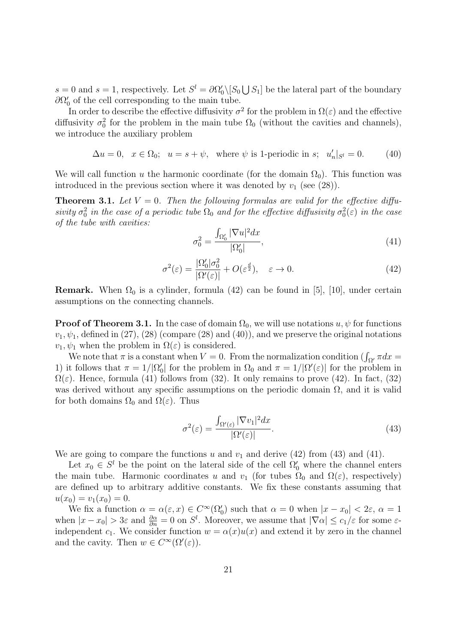$s = 0$  and  $s = 1$ , respectively. Let  $S^l = \partial \Omega_0' \setminus [S_0 \cup S_1]$  be the lateral part of the boundary  $\partial\Omega_0'$  of the cell corresponding to the main tube.

In order to describe the effective diffusivity  $\sigma^2$  for the problem in  $\Omega(\varepsilon)$  and the effective diffusivity  $\sigma_0^2$  for the problem in the main tube  $\Omega_0$  (without the cavities and channels), we introduce the auxiliary problem

$$
\Delta u = 0, \quad x \in \Omega_0; \quad u = s + \psi, \quad \text{where } \psi \text{ is 1-periodic in } s; \quad u'_n|_{S^l} = 0. \tag{40}
$$

We will call function *u* the harmonic coordinate (for the domain  $\Omega_0$ ). This function was introduced in the previous section where it was denoted by  $v_1$  (see (28)).

**Theorem 3.1.** Let  $V = 0$ . Then the following formulas are valid for the effective diffusivity  $\sigma_0^2$  in the case of a periodic tube  $\Omega_0$  and for the effective diffusivity  $\sigma_0^2(\varepsilon)$  in the case *of the tube with cavities:*

$$
\sigma_0^2 = \frac{\int_{\Omega_0'} |\nabla u|^2 dx}{|\Omega_0'|},\tag{41}
$$

$$
\sigma^2(\varepsilon) = \frac{|\Omega_0'|\sigma_0^2}{|\Omega'(\varepsilon)|} + O(\varepsilon^{\frac{d}{2}}), \quad \varepsilon \to 0.
$$
\n(42)

**Remark.** When  $\Omega_0$  is a cylinder, formula (42) can be found in [5], [10], under certain assumptions on the connecting channels.

**Proof of Theorem 3.1.** In the case of domain  $\Omega_0$ , we will use notations  $u, \psi$  for functions  $v_1, \psi_1$ , defined in (27), (28) (compare (28) and (40)), and we preserve the original notations  $v_1, \psi_1$  when the problem in  $\Omega(\varepsilon)$  is considered.

We note that  $\pi$  is a constant when  $V = 0$ . From the normalization condition  $(\int_{\Omega'} \pi dx)$ 1) it follows that  $\pi = 1/|\Omega_0|$  for the problem in  $\Omega_0$  and  $\pi = 1/|\Omega'(z)|$  for the problem in  $\Omega(\varepsilon)$ . Hence, formula (41) follows from (32). It only remains to prove (42). In fact, (32) was derived without any specific assumptions on the periodic domain  $\Omega$ , and it is valid for both domains  $\Omega_0$  and  $\Omega(\varepsilon)$ . Thus

$$
\sigma^{2}(\varepsilon) = \frac{\int_{\Omega'(\varepsilon)} |\nabla v_{1}|^{2} dx}{|\Omega'(\varepsilon)|}.
$$
\n(43)

We are going to compare the functions  $u$  and  $v_1$  and derive (42) from (43) and (41).

Let  $x_0 \in S^l$  be the point on the lateral side of the cell  $\Omega'_0$  where the channel enters the main tube. Harmonic coordinates *u* and  $v_1$  (for tubes  $\Omega_0$  and  $\Omega(\varepsilon)$ , respectively) are defined up to arbitrary additive constants. We fix these constants assuming that  $u(x_0) = v_1(x_0) = 0.$ 

We fix a function  $\alpha = \alpha(\varepsilon, x) \in C^{\infty}(\Omega_0')$  such that  $\alpha = 0$  when  $|x - x_0| < 2\varepsilon$ ,  $\alpha = 1$ when  $|x - x_0| > 3\varepsilon$  and  $\frac{\partial \alpha}{\partial n} = 0$  on  $S^l$ . Moreover, we assume that  $|\nabla \alpha| \leq c_1/\varepsilon$  for some  $\varepsilon$ independent  $c_1$ . We consider function  $w = \alpha(x)u(x)$  and extend it by zero in the channel and the cavity. Then  $w \in C^{\infty}(\Omega'(\varepsilon))$ .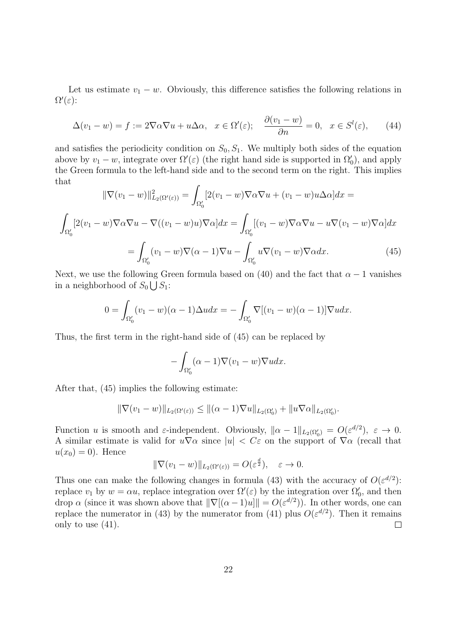Let us estimate  $v_1 - w$ . Obviously, this difference satisfies the following relations in Ω *′* (*ε*):

$$
\Delta(v_1 - w) = f := 2\nabla\alpha\nabla u + u\Delta\alpha, \quad x \in \Omega'(\varepsilon); \quad \frac{\partial(v_1 - w)}{\partial n} = 0, \quad x \in S^l(\varepsilon), \tag{44}
$$

and satisfies the periodicity condition on  $S_0, S_1$ . We multiply both sides of the equation above by  $v_1 - w$ , integrate over  $\Omega'(\varepsilon)$  (the right hand side is supported in  $\Omega'_0$ ), and apply the Green formula to the left-hand side and to the second term on the right. This implies that

$$
\|\nabla(v_1 - w)\|_{L_2(\Omega'(\varepsilon))}^2 = \int_{\Omega'_0} [2(v_1 - w)\nabla\alpha\nabla u + (v_1 - w)u\Delta\alpha]dx =
$$

$$
\int_{\Omega'_0} [2(v_1 - w)\nabla\alpha\nabla u - \nabla((v_1 - w)u)\nabla\alpha]dx = \int_{\Omega'_0} [(v_1 - w)\nabla\alpha\nabla u - u\nabla(v_1 - w)\nabla\alpha]dx
$$

$$
= \int_{\Omega'_0} (v_1 - w)\nabla(\alpha - 1)\nabla u - \int_{\Omega'_0} u\nabla(v_1 - w)\nabla\alpha dx.
$$
(45)

Next, we use the following Green formula based on (40) and the fact that  $\alpha - 1$  vanishes in a neighborhood of  $S_0 \bigcup S_1$ :

$$
0 = \int_{\Omega_0'} (v_1 - w)(\alpha - 1) \Delta u dx = - \int_{\Omega_0'} \nabla [(v_1 - w)(\alpha - 1)] \nabla u dx.
$$

Thus, the first term in the right-hand side of (45) can be replaced by

$$
-\int_{\Omega_0'} (\alpha - 1)\nabla(v_1 - w)\nabla u dx.
$$

After that, (45) implies the following estimate:

$$
\|\nabla(v_1-w)\|_{L_2(\Omega'(\varepsilon))} \leq \|(\alpha-1)\nabla u\|_{L_2(\Omega_0')} + \|u\nabla\alpha\|_{L_2(\Omega_0')}.
$$

Function *u* is smooth and *ε*-independent. Obviously,  $\|\alpha - 1\|_{L_2(\Omega_0')} = O(\varepsilon^{d/2}), \varepsilon \to 0.$ A similar estimate is valid for  $u\nabla\alpha$  since  $|u| < C\varepsilon$  on the support of  $\nabla\alpha$  (recall that  $u(x_0) = 0$ . Hence

$$
\|\nabla(v_1 - w)\|_{L_2(\Omega'(\varepsilon))} = O(\varepsilon^{\frac{d}{2}}), \quad \varepsilon \to 0.
$$

Thus one can make the following changes in formula (43) with the accuracy of  $O(\varepsilon^{d/2})$ : replace  $v_1$  by  $w = \alpha u$ , replace integration over  $\Omega'(\varepsilon)$  by the integration over  $\Omega'_0$ , and then drop *α* (since it was shown above that  $\|\nabla[(\alpha-1)u]\| = O(\varepsilon^{d/2})$ ). In other words, one can replace the numerator in (43) by the numerator from (41) plus  $O(\varepsilon^{d/2})$ . Then it remains only to use (41).  $\Box$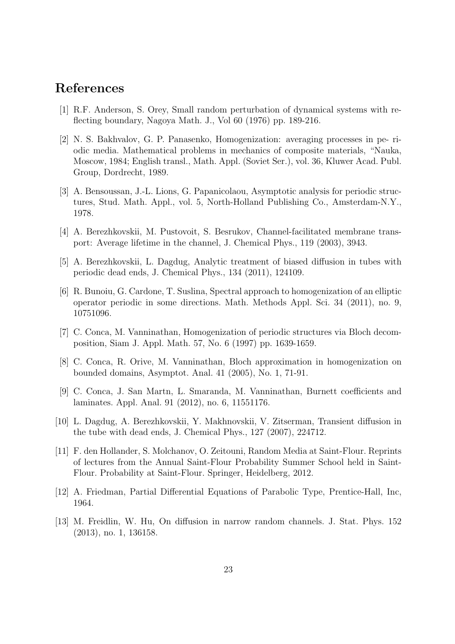### **References**

- [1] R.F. Anderson, S. Orey, Small random perturbation of dynamical systems with reflecting boundary, Nagoya Math. J., Vol 60 (1976) pp. 189-216.
- [2] N. S. Bakhvalov, G. P. Panasenko, Homogenization: averaging processes in pe- riodic media. Mathematical problems in mechanics of composite materials, "Nauka, Moscow, 1984; English transl., Math. Appl. (Soviet Ser.), vol. 36, Kluwer Acad. Publ. Group, Dordrecht, 1989.
- [3] A. Bensoussan, J.-L. Lions, G. Papanicolaou, Asymptotic analysis for periodic structures, Stud. Math. Appl., vol. 5, North-Holland Publishing Co., Amsterdam-N.Y., 1978.
- [4] A. Berezhkovskii, M. Pustovoit, S. Besrukov, Channel-facilitated membrane transport: Average lifetime in the channel, J. Chemical Phys., 119 (2003), 3943.
- [5] A. Berezhkovskii, L. Dagdug, Analytic treatment of biased diffusion in tubes with periodic dead ends, J. Chemical Phys., 134 (2011), 124109.
- [6] R. Bunoiu, G. Cardone, T. Suslina, Spectral approach to homogenization of an elliptic operator periodic in some directions. Math. Methods Appl. Sci. 34 (2011), no. 9, 10751096.
- [7] C. Conca, M. Vanninathan, Homogenization of periodic structures via Bloch decomposition, Siam J. Appl. Math. 57, No. 6 (1997) pp. 1639-1659.
- [8] C. Conca, R. Orive, M. Vanninathan, Bloch approximation in homogenization on bounded domains, Asymptot. Anal. 41 (2005), No. 1, 71-91.
- [9] C. Conca, J. San Martn, L. Smaranda, M. Vanninathan, Burnett coefficients and laminates. Appl. Anal. 91 (2012), no. 6, 11551176.
- [10] L. Dagdug, A. Berezhkovskii, Y. Makhnovskii, V. Zitserman, Transient diffusion in the tube with dead ends, J. Chemical Phys., 127 (2007), 224712.
- [11] F. den Hollander, S. Molchanov, O. Zeitouni, Random Media at Saint-Flour. Reprints of lectures from the Annual Saint-Flour Probability Summer School held in Saint-Flour. Probability at Saint-Flour. Springer, Heidelberg, 2012.
- [12] A. Friedman, Partial Differential Equations of Parabolic Type, Prentice-Hall, Inc, 1964.
- [13] M. Freidlin, W. Hu, On diffusion in narrow random channels. J. Stat. Phys. 152 (2013), no. 1, 136158.